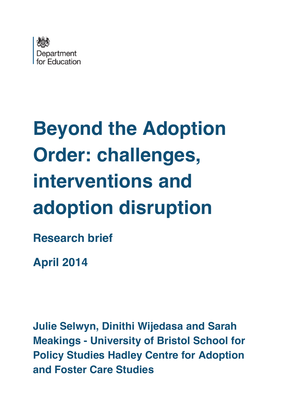

# **Beyond the Adoption Order: challenges, interventions and adoption disruption Research brief**

**April 2014**

**Julie Selwyn, Dinithi Wijedasa and Sarah Meakings - University of Bristol School for Policy Studies Hadley Centre for Adoption and Foster Care Studies**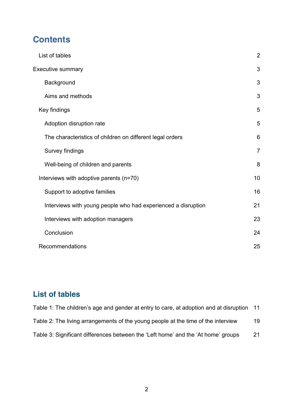# **Contents**

| List of tables                                                | $\overline{2}$ |
|---------------------------------------------------------------|----------------|
| <b>Executive summary</b>                                      | 3              |
| Background                                                    | 3              |
| Aims and methods                                              | 3              |
| Key findings                                                  | 5              |
| Adoption disruption rate                                      | 5              |
| The characteristics of children on different legal orders     | 6              |
| Survey findings                                               | $\overline{7}$ |
| Well-being of children and parents                            | 8              |
| Interviews with adoptive parents (n=70)                       | 10             |
| Support to adoptive families                                  | 16             |
| Interviews with young people who had experienced a disruption | 21             |
| Interviews with adoption managers                             | 23             |
| Conclusion                                                    | 24             |
| Recommendations                                               | 25             |

# **List of tables**

| Table 1: The children's age and gender at entry to care, at adoption and at disruption | 11 |
|----------------------------------------------------------------------------------------|----|
| Table 2: The living arrangements of the young people at the time of the interview      | 19 |
| Table 3: Significant differences between the 'Left home' and the 'At home' groups      | 21 |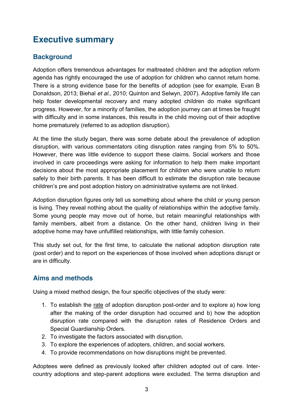# **Executive summary**

## **Background**

Adoption offers tremendous advantages for maltreated children and the adoption reform agenda has rightly encouraged the use of adoption for children who cannot return home. There is a strong evidence base for the benefits of adoption (see for example, Evan B Donaldson, 2013; Biehal *et al.,* 2010; Quinton and Selwyn, 2007). Adoptive family life can help foster developmental recovery and many adopted children do make significant progress. However, for a minority of families, the adoption journey can at times be fraught with difficulty and in some instances, this results in the child moving out of their adoptive home prematurely (referred to as adoption disruption).

At the time the study began, there was some debate about the prevalence of adoption disruption, with various commentators citing disruption rates ranging from 5% to 50%. However, there was little evidence to support these claims. Social workers and those involved in care proceedings were asking for information to help them make important decisions about the most appropriate placement for children who were unable to return safely to their birth parents. It has been difficult to estimate the disruption rate because children's pre and post adoption history on administrative systems are not linked.

Adoption disruption figures only tell us something about where the child or young person is living. They reveal nothing about the quality of relationships within the adoptive family. Some young people may move out of home, but retain meaningful relationships with family members, albeit from a distance. On the other hand, children living in their adoptive home may have unfulfilled relationships, with little family cohesion.

This study set out, for the first time, to calculate the national adoption disruption rate (post order) and to report on the experiences of those involved when adoptions disrupt or are in difficulty.

#### **Aims and methods**

Using a mixed method design, the four specific objectives of the study were:

- 1. To establish the rate of adoption disruption post-order and to explore a) how long after the making of the order disruption had occurred and b) how the adoption disruption rate compared with the disruption rates of Residence Orders and Special Guardianship Orders.
- 2. To investigate the factors associated with disruption.
- 3. To explore the experiences of adopters, children, and social workers.
- 4. To provide recommendations on how disruptions might be prevented.

Adoptees were defined as previously looked after children adopted out of care. Intercountry adoptions and step-parent adoptions were excluded. The terms disruption and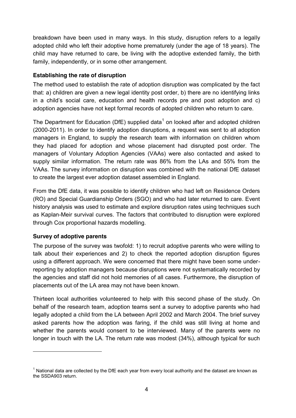breakdown have been used in many ways. In this study, disruption refers to a legally adopted child who left their adoptive home prematurely (under the age of 18 years). The child may have returned to care, be living with the adoptive extended family, the birth family, independently, or in some other arrangement.

#### **Establishing the rate of disruption**

The method used to establish the rate of adoption disruption was complicated by the fact that: a) children are given a new legal identity post order, b) there are no identifying links in a child's social care, education and health records pre and post adoption and c) adoption agencies have not kept formal records of adopted children who return to care.

The Department for Education (DfE) supplied data<sup>1</sup> on looked after and adopted children (2000-2011). In order to identify adoption disruptions, a request was sent to all adoption managers in England, to supply the research team with information on children whom they had placed for adoption and whose placement had disrupted post order. The managers of Voluntary Adoption Agencies (VAAs) were also contacted and asked to supply similar information. The return rate was 86% from the LAs and 55% from the VAAs. The survey information on disruption was combined with the national DfE dataset to create the largest ever adoption dataset assembled in England.

From the DfE data, it was possible to identify children who had left on Residence Orders (RO) and Special Guardianship Orders (SGO) and who had later returned to care. Event history analysis was used to estimate and explore disruption rates using techniques such as Kaplan-Meir survival curves. The factors that contributed to disruption were explored through Cox proportional hazards modelling.

#### **Survey of adoptive parents**

The purpose of the survey was twofold: 1) to recruit adoptive parents who were willing to talk about their experiences and 2) to check the reported adoption disruption figures using a different approach. We were concerned that there might have been some underreporting by adoption managers because disruptions were not systematically recorded by the agencies and staff did not hold memories of all cases. Furthermore, the disruption of placements out of the LA area may not have been known.

Thirteen local authorities volunteered to help with this second phase of the study. On behalf of the research team, adoption teams sent a survey to adoptive parents who had legally adopted a child from the LA between April 2002 and March 2004. The brief survey asked parents how the adoption was faring, if the child was still living at home and whether the parents would consent to be interviewed. Many of the parents were no longer in touch with the LA. The return rate was modest (34%), although typical for such

<sup>&</sup>lt;sup>1</sup> National data are collected by the DfE each year from every local authority and the dataset are known as the SSDA903 return.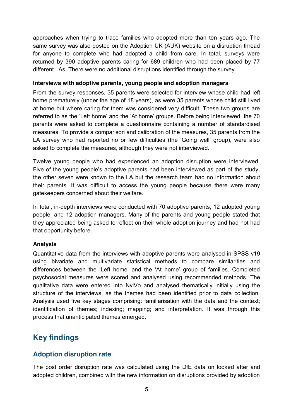approaches when trying to trace families who adopted more than ten years ago. The same survey was also posted on the Adoption UK (AUK) website on a disruption thread for anyone to complete who had adopted a child from care. In total, surveys were returned by 390 adoptive parents caring for 689 children who had been placed by 77 different LAs. There were no additional disruptions identified through the survey.

#### **Interviews with adoptive parents, young people and adoption managers**

From the survey responses, 35 parents were selected for interview whose child had left home prematurely (under the age of 18 years), as were 35 parents whose child still lived at home but where caring for them was considered very difficult. These two groups are referred to as the 'Left home' and the 'At home' groups. Before being interviewed, the 70 parents were asked to complete a questionnaire containing a number of standardised measures. To provide a comparison and calibration of the measures, 35 parents from the LA survey who had reported no or few difficulties (the 'Going well' group), were also asked to complete the measures, although they were not interviewed.

Twelve young people who had experienced an adoption disruption were interviewed. Five of the young people's adoptive parents had been interviewed as part of the study, the other seven were known to the LA but the research team had no information about their parents. It was difficult to access the young people because there were many gatekeepers concerned about their welfare.

In total, in-depth interviews were conducted with 70 adoptive parents, 12 adopted young people, and 12 adoption managers. Many of the parents and young people stated that they appreciated being asked to reflect on their whole adoption journey and had not had that opportunity before.

#### **Analysis**

Quantitative data from the interviews with adoptive parents were analysed in SPSS v19 using bivariate and multivariate statistical methods to compare similarities and differences between the 'Left home' and the 'At home' group of families. Completed psychosocial measures were scored and analysed using recommended methods. The qualitative data were entered into NviVo and analysed thematically initially using the structure of the interviews, as the themes had been identified prior to data collection. Analysis used five key stages comprising: familiarisation with the data and the context; identification of themes; indexing; mapping; and interpretation. It was through this process that unanticipated themes emerged.

# **Key findings**

#### **Adoption disruption rate**

The post order disruption rate was calculated using the DfE data on looked after and adopted children, combined with the new information on disruptions provided by adoption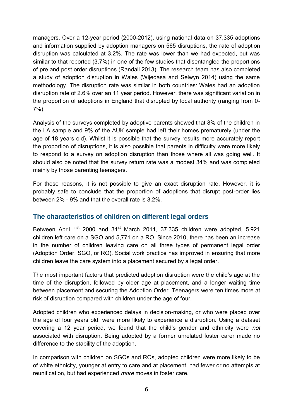managers. Over a 12-year period (2000-2012), using national data on 37,335 adoptions and information supplied by adoption managers on 565 disruptions, the rate of adoption disruption was calculated at 3.2%. The rate was lower than we had expected, but was similar to that reported (3.7%) in one of the few studies that disentangled the proportions of pre and post order disruptions (Randall 2013). The research team has also completed a study of adoption disruption in Wales (Wijedasa and Selwyn 2014) using the same methodology. The disruption rate was similar in both countries: Wales had an adoption disruption rate of 2.6% over an 11 year period. However, there was significant variation in the proportion of adoptions in England that disrupted by local authority (ranging from 0- 7%).

Analysis of the surveys completed by adoptive parents showed that 8% of the children in the LA sample and 9% of the AUK sample had left their homes prematurely (under the age of 18 years old). Whilst it is possible that the survey results more accurately report the proportion of disruptions, it is also possible that parents in difficulty were more likely to respond to a survey on adoption disruption than those where all was going well. It should also be noted that the survey return rate was a modest 34% and was completed mainly by those parenting teenagers.

For these reasons, it is not possible to give an exact disruption rate. However, it is probably safe to conclude that the proportion of adoptions that disrupt post-order lies between 2% - 9% and that the overall rate is 3.2%.

#### **The characteristics of children on different legal orders**

Between April 1<sup>st</sup> 2000 and 31<sup>st</sup> March 2011, 37,335 children were adopted, 5,921 children left care on a SGO and 5,771 on a RO. Since 2010, there has been an increase in the number of children leaving care on all three types of permanent legal order (Adoption Order, SGO, or RO). Social work practice has improved in ensuring that more children leave the care system into a placement secured by a legal order.

The most important factors that predicted adoption disruption were the child's age at the time of the disruption, followed by older age at placement, and a longer waiting time between placement and securing the Adoption Order. Teenagers were ten times more at risk of disruption compared with children under the age of four.

Adopted children who experienced delays in decision-making, or who were placed over the age of four years old, were more likely to experience a disruption. Using a dataset covering a 12 year period, we found that the child's gender and ethnicity were *not*  associated with disruption. Being adopted by a former unrelated foster carer made no difference to the stability of the adoption.

In comparison with children on SGOs and ROs, adopted children were more likely to be of white ethnicity, younger at entry to care and at placement, had fewer or no attempts at reunification, but had experienced *more* moves in foster care.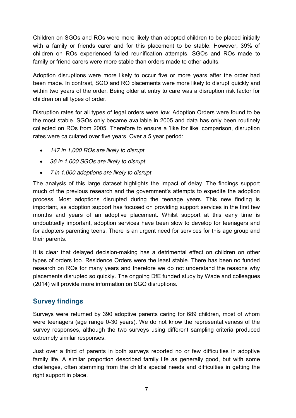Children on SGOs and ROs were more likely than adopted children to be placed initially with a family or friends carer and for this placement to be stable. However, 39% of children on ROs experienced failed reunification attempts. SGOs and ROs made to family or friend carers were more stable than orders made to other adults.

Adoption disruptions were more likely to occur five or more years after the order had been made. In contrast, SGO and RO placements were more likely to disrupt quickly and within two years of the order. Being older at entry to care was a disruption risk factor for children on all types of order.

Disruption rates for all types of legal orders were *low*. Adoption Orders were found to be the most stable. SGOs only became available in 2005 and data has only been routinely collected on ROs from 2005. Therefore to ensure a 'like for like' comparison, disruption rates were calculated over five years. Over a 5 year period:

- x *147 in 1,000 ROs are likely to disrupt*
- x *36 in 1,000 SGOs are likely to disrupt*
- x *7 in 1,000 adoptions are likely to disrupt*

The analysis of this large dataset highlights the impact of delay. The findings support much of the previous research and the government's attempts to expedite the adoption process. Most adoptions disrupted during the teenage years. This new finding is important, as adoption support has focused on providing support services in the first few months and years of an adoptive placement. Whilst support at this early time is undoubtedly important, adoption services have been slow to develop for teenagers and for adopters parenting teens. There is an urgent need for services for this age group and their parents.

It is clear that delayed decision-making has a detrimental effect on children on other types of orders too. Residence Orders were the least stable. There has been no funded research on ROs for many years and therefore we do not understand the reasons why placements disrupted so quickly. The ongoing DfE funded study by Wade and colleagues (2014) will provide more information on SGO disruptions.

#### **Survey findings**

Surveys were returned by 390 adoptive parents caring for 689 children, most of whom were teenagers (age range 0-30 years). We do not know the representativeness of the survey responses, although the two surveys using different sampling criteria produced extremely similar responses.

Just over a third of parents in both surveys reported no or few difficulties in adoptive family life. A similar proportion described family life as generally good, but with some challenges, often stemming from the child's special needs and difficulties in getting the right support in place.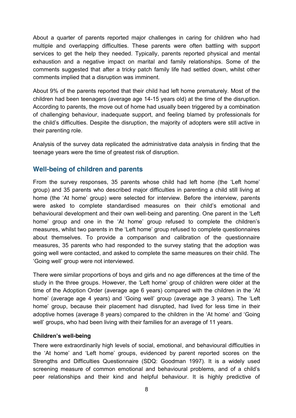About a quarter of parents reported major challenges in caring for children who had multiple and overlapping difficulties. These parents were often battling with support services to get the help they needed. Typically, parents reported physical and mental exhaustion and a negative impact on marital and family relationships. Some of the comments suggested that after a tricky patch family life had settled down, whilst other comments implied that a disruption was imminent.

About 9% of the parents reported that their child had left home prematurely. Most of the children had been teenagers (average age 14-15 years old) at the time of the disruption. According to parents, the move out of home had usually been triggered by a combination of challenging behaviour, inadequate support, and feeling blamed by professionals for the child's difficulties. Despite the disruption, the majority of adopters were still active in their parenting role.

Analysis of the survey data replicated the administrative data analysis in finding that the teenage years were the time of greatest risk of disruption.

#### **Well-being of children and parents**

From the survey responses, 35 parents whose child had left home (the 'Left home' group) and 35 parents who described major difficulties in parenting a child still living at home (the 'At home' group) were selected for interview. Before the interview, parents were asked to complete standardised measures on their child's emotional and behavioural development and their own well-being and parenting. One parent in the 'Left home' group and one in the 'At home' group refused to complete the children's measures, whilst two parents in the 'Left home' group refused to complete questionnaires about themselves. To provide a comparison and calibration of the questionnaire measures, 35 parents who had responded to the survey stating that the adoption was going well were contacted, and asked to complete the same measures on their child. The 'Going well' group were not interviewed.

There were similar proportions of boys and girls and no age differences at the time of the study in the three groups. However, the 'Left home' group of children were older at the time of the Adoption Order (average age 6 years) compared with the children in the 'At home' (average age 4 years) and 'Going well' group (average age 3 years). The 'Left home' group, because their placement had disrupted, had lived for less time in their adoptive homes (average 8 years) compared to the children in the 'At home' and 'Going well' groups, who had been living with their families for an average of 11 years.

#### **Children's well-being**

There were extraordinarily high levels of social, emotional, and behavioural difficulties in the 'At home' and 'Left home' groups, evidenced by parent reported scores on the Strengths and Difficulties Questionnaire (SDQ: Goodman 1997). It is a widely used screening measure of common emotional and behavioural problems, and of a child's peer relationships and their kind and helpful behaviour. It is highly predictive of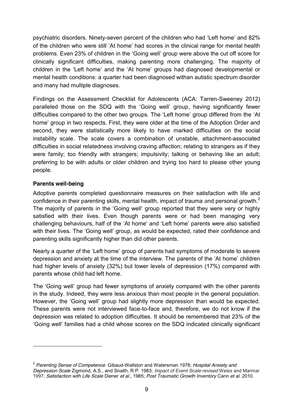psychiatric disorders. Ninety-seven percent of the children who had 'Left home' and 82% of the children who were still 'At home' had scores in the clinical range for mental health problems. Even 23% of children in the 'Going well' group were above the cut off score for clinically significant difficulties, making parenting more challenging. The majority of children in the 'Left home' and the 'At home' groups had diagnosed developmental or mental health conditions: a quarter had been diagnosed withan autistic spectrum disorder and many had multiple diagnoses.

Findings on the Assessment Checklist for Adolescents (ACA: Tarren-Sweeney 2012) paralleled those on the SDQ with the 'Going well' group, having significantly fewer difficulties compared to the other two groups. The 'Left home' group differed from the 'At home' group in two respects. First, they were older at the time of the Adoption Order and second, they were statistically more likely to have marked difficulties on the social instability scale. The scale covers a combination of unstable, attachment-associated difficulties in social relatedness involving craving affection; relating to strangers as if they were family; too friendly with strangers; impulsivity; talking or behaving like an adult; preferring to be with adults or older children and trying too hard to please other young people.

#### **Parents well-being**

Adoptive parents completed questionnaire measures on their satisfaction with life and confidence in their parenting skills, mental health, impact of trauma and personal growth.<sup>2</sup> The majority of parents in the 'Going well' group reported that they were very or highly satisfied with their lives. Even though parents were or had been managing very challenging behaviours, half of the 'At home' and 'Left home' parents were also satisfied with their lives. The 'Going well' group, as would be expected, rated their confidence and parenting skills significantly higher than did other parents.

Nearly a quarter of the 'Left home' group of parents had symptoms of moderate to severe depression and anxiety at the time of the interview. The parents of the 'At home' children had higher levels of anxiety (32%) but lower levels of depression (17%) compared with parents whose child had left home.

The 'Going well' group had fewer symptoms of anxiety compared with the other parents in the study. Indeed, they were less anxious than most people in the general population. However, the 'Going well' group had slightly more depression than would be expected. These parents were not interviewed face-to-face and, therefore, we do not know if the depression was related to adoption difficulties. It should be remembered that 23% of the 'Going well' families had a child whose scores on the SDQ indicated clinically significant

<sup>2</sup> *Parenting Sense of Competence* Gibaud-Wallston and Watersman 1978; *Hospital Anxiety and Depression Scale* Zigmond, A.S., and Snaith, R.P. 1983; *Impact of Event Scale-revised* Weiss and Marmar 1997; *Satisfaction with Life Scale* Diener *et al.,* 1985; *Post Traumatic Growth Inventory* Cann *et al.* 2010.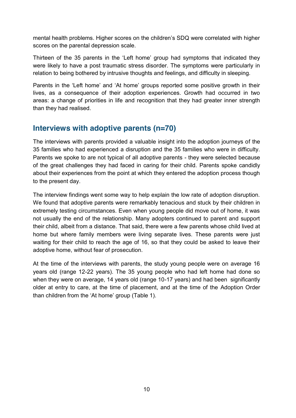mental health problems. Higher scores on the children's SDQ were correlated with higher scores on the parental depression scale.

Thirteen of the 35 parents in the 'Left home' group had symptoms that indicated they were likely to have a post traumatic stress disorder. The symptoms were particularly in relation to being bothered by intrusive thoughts and feelings, and difficulty in sleeping.

Parents in the 'Left home' and 'At home' groups reported some positive growth in their lives, as a consequence of their adoption experiences. Growth had occurred in two areas: a change of priorities in life and recognition that they had greater inner strength than they had realised.

# **Interviews with adoptive parents (n=70)**

The interviews with parents provided a valuable insight into the adoption journeys of the 35 families who had experienced a disruption and the 35 families who were in difficulty. Parents we spoke to are not typical of all adoptive parents - they were selected because of the great challenges they had faced in caring for their child. Parents spoke candidly about their experiences from the point at which they entered the adoption process though to the present day.

The interview findings went some way to help explain the low rate of adoption disruption. We found that adoptive parents were remarkably tenacious and stuck by their children in extremely testing circumstances. Even when young people did move out of home, it was not usually the end of the relationship. Many adopters continued to parent and support their child, albeit from a distance. That said, there were a few parents whose child lived at home but where family members were living separate lives. These parents were just waiting for their child to reach the age of 16, so that they could be asked to leave their adoptive home, without fear of prosecution.

At the time of the interviews with parents, the study young people were on average 16 years old (range 12-22 years). The 35 young people who had left home had done so when they were on average, 14 years old (range 10-17 years) and had been significantly older at entry to care, at the time of placement, and at the time of the Adoption Order than children from the 'At home' group (Table 1).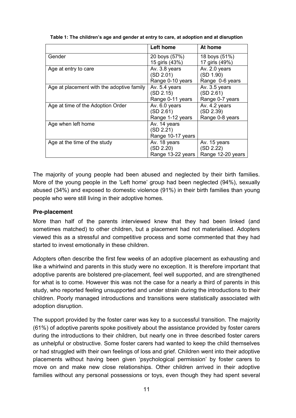|                                           | Left home         | At home           |
|-------------------------------------------|-------------------|-------------------|
| Gender                                    | 20 boys (57%)     | 18 boys (51%)     |
|                                           | 15 girls (43%)    | 17 girls (49%)    |
| Age at entry to care                      | Av. 3.8 years     | Av. 2.0 years     |
|                                           | (SD 2.01)         | (SD 1.90)         |
|                                           | Range 0-10 years  | Range 0-6 years   |
| Age at placement with the adoptive family | Av. 5.4 years     | Av. 3.5 years     |
|                                           | (SD 2.15)         | (SD 2.61)         |
|                                           | Range 0-11 years  | Range 0-7 years   |
| Age at time of the Adoption Order         | Av. 6.0 years     | Av. 4.2 years     |
|                                           | (SD 2.61)         | (SD 2.39)         |
|                                           | Range 1-12 years  | Range 0-8 years   |
| Age when left home                        | Av. 14 years      |                   |
|                                           | (SD 2.21)         |                   |
|                                           | Range 10-17 years |                   |
| Age at the time of the study              | Av. 18 years      | Av. 15 years      |
|                                           | (SD 2.20)         | (SD 2.22)         |
|                                           | Range 13-22 years | Range 12-20 years |

**Table 1: The children's age and gender at entry to care, at adoption and at disruption** 

The majority of young people had been abused and neglected by their birth families. More of the young people in the 'Left home' group had been neglected (94%), sexually abused (34%) and exposed to domestic violence (91%) in their birth families than young people who were still living in their adoptive homes.

#### **Pre-placement**

More than half of the parents interviewed knew that they had been linked (and sometimes matched) to other children, but a placement had not materialised. Adopters viewed this as a stressful and competitive process and some commented that they had started to invest emotionally in these children.

Adopters often describe the first few weeks of an adoptive placement as exhausting and like a whirlwind and parents in this study were no exception. It is therefore important that adoptive parents are bolstered pre-placement, feel well supported, and are strengthened for what is to come. However this was not the case for a nearly a third of parents in this study, who reported feeling unsupported and under strain during the introductions to their children. Poorly managed introductions and transitions were statistically associated with adoption disruption.

The support provided by the foster carer was key to a successful transition. The majority (61%) of adoptive parents spoke positively about the assistance provided by foster carers during the introductions to their children, but nearly one in three described foster carers as unhelpful or obstructive. Some foster carers had wanted to keep the child themselves or had struggled with their own feelings of loss and grief. Children went into their adoptive placements without having been given 'psychological permission' by foster carers to move on and make new close relationships. Other children arrived in their adoptive families without any personal possessions or toys, even though they had spent several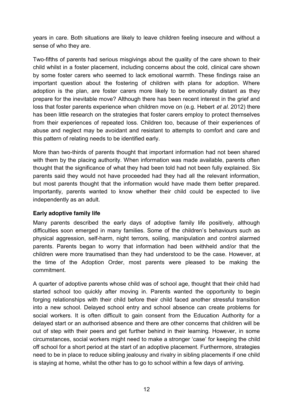years in care. Both situations are likely to leave children feeling insecure and without a sense of who they are.

Two-fifths of parents had serious misgivings about the quality of the care shown to their child whilst in a foster placement, including concerns about the cold, clinical care shown by some foster carers who seemed to lack emotional warmth. These findings raise an important question about the fostering of children with plans for adoption. Where adoption is the plan, are foster carers more likely to be emotionally distant as they prepare for the inevitable move? Although there has been recent interest in the grief and loss that foster parents experience when children move on (e.g. Hebert *et al.* 2012) there has been little research on the strategies that foster carers employ to protect themselves from their experiences of repeated loss. Children too, because of their experiences of abuse and neglect may be avoidant and resistant to attempts to comfort and care and this pattern of relating needs to be identified early.

More than two-thirds of parents thought that important information had not been shared with them by the placing authority. When information was made available, parents often thought that the significance of what they had been told had not been fully explained. Six parents said they would not have proceeded had they had all the relevant information, but most parents thought that the information would have made them better prepared. Importantly, parents wanted to know whether their child could be expected to live independently as an adult.

#### **Early adoptive family life**

Many parents described the early days of adoptive family life positively, although difficulties soon emerged in many families. Some of the children's behaviours such as physical aggression, self-harm, night terrors, soiling, manipulation and control alarmed parents. Parents began to worry that information had been withheld and/or that the children were more traumatised than they had understood to be the case. However, at the time of the Adoption Order, most parents were pleased to be making the commitment.

A quarter of adoptive parents whose child was of school age, thought that their child had started school too quickly after moving in. Parents wanted the opportunity to begin forging relationships with their child before their child faced another stressful transition into a new school. Delayed school entry and school absence can create problems for social workers. It is often difficult to gain consent from the Education Authority for a delayed start or an authorised absence and there are other concerns that children will be out of step with their peers and get further behind in their learning. However, in some circumstances, social workers might need to make a stronger 'case' for keeping the child off school for a short period at the start of an adoptive placement. Furthermore, strategies need to be in place to reduce sibling jealousy and rivalry in sibling placements if one child is staying at home, whilst the other has to go to school within a few days of arriving.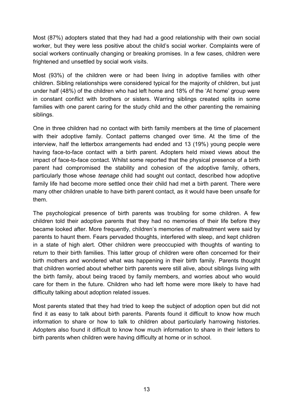Most (87%) adopters stated that they had had a good relationship with their own social worker, but they were less positive about the child's social worker. Complaints were of social workers continually changing or breaking promises. In a few cases, children were frightened and unsettled by social work visits.

Most (93%) of the children were or had been living in adoptive families with other children. Sibling relationships were considered typical for the majority of children, but just under half (48%) of the children who had left home and 18% of the 'At home' group were in constant conflict with brothers or sisters. Warring siblings created splits in some families with one parent caring for the study child and the other parenting the remaining siblings.

One in three children had no contact with birth family members at the time of placement with their adoptive family. Contact patterns changed over time. At the time of the interview, half the letterbox arrangements had ended and 13 (19%) young people were having face-to-face contact with a birth parent. Adopters held mixed views about the impact of face-to-face contact. Whilst some reported that the physical presence of a birth parent had compromised the stability and cohesion of the adoptive family, others, particularly those whose *teenage* child had sought out contact, described how adoptive family life had become more settled once their child had met a birth parent. There were many other children unable to have birth parent contact, as it would have been unsafe for them.

The psychological presence of birth parents was troubling for some children. A few children told their adoptive parents that they had no memories of their life before they became looked after. More frequently, children's memories of maltreatment were said by parents to haunt them. Fears pervaded thoughts, interfered with sleep, and kept children in a state of high alert. Other children were preoccupied with thoughts of wanting to return to their birth families. This latter group of children were often concerned for their birth mothers and wondered what was happening in their birth family. Parents thought that children worried about whether birth parents were still alive, about siblings living with the birth family, about being traced by family members, and worries about who would care for them in the future. Children who had left home were more likely to have had difficulty talking about adoption related issues.

Most parents stated that they had tried to keep the subject of adoption open but did not find it as easy to talk about birth parents. Parents found it difficult to know how much information to share or how to talk to children about particularly harrowing histories. Adopters also found it difficult to know how much information to share in their letters to birth parents when children were having difficulty at home or in school.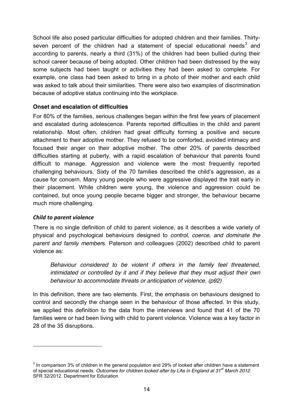School life also posed particular difficulties for adopted children and their families. Thirtyseven percent of the children had a statement of special educational needs<sup>3</sup> and according to parents, nearly a third (31%) of the children had been bullied during their school career because of being adopted. Other children had been distressed by the way some subjects had been taught or activities they had been asked to complete. For example, one class had been asked to bring in a photo of their mother and each child was asked to talk about their similarities. There were also two examples of discrimination because of adoptive status continuing into the workplace.

#### **Onset and escalation of difficulties**

For 80% of the families, serious challenges began within the first few years of placement and escalated during adolescence. Parents reported difficulties in the child and parent relationship. Most often, children had great difficulty forming a positive and secure attachment to their adoptive mother. They refused to be comforted, avoided intimacy and focused their anger on their adoptive mother. The other 20% of parents described difficulties starting at puberty, with a rapid escalation of behaviour that parents found difficult to manage. Aggression and violence were the most frequently reported challenging behaviours. Sixty of the 70 families described the child's aggression, as a cause for concern. Many young people who were aggressive displayed the trait early in their placement. While children were young, the violence and aggression could be contained, but once young people became bigger and stronger, the behaviour became much more challenging.

#### *Child to parent violence*

There is no single definition of child to parent violence, as it describes a wide variety of physical and psychological behaviours designed to *control, coerce, and dominate the parent and family member*s. Paterson and colleagues (2002) described child to parent violence as:

*Behaviour considered to be violent if others in the family feel threatened, intimidated or controlled by it and if they believe that they must adjust their own behaviour to accommodate threats or anticipation of violence. (p92)*

In this definition, there are two elements. First, the emphasis on behaviours designed to control and secondly the change seen in the behaviour of those affected. In this study, we applied this definition to the data from the interviews and found that 41 of the 70 families were or had been living with child to parent violence. Violence was a key factor in 28 of the 35 disruptions.

 $3$  In comparison 3% of children in the general population and 29% of looked after children have a statement of special educational needs. *Outcomes for children looked after by LAs in England at 31st March 2012.* SFR 32/2012. Department for Education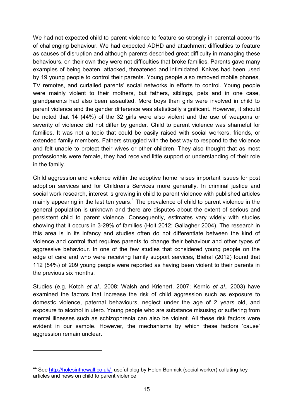We had not expected child to parent violence to feature so strongly in parental accounts of challenging behaviour. We had expected ADHD and attachment difficulties to feature as causes of disruption and although parents described great difficulty in managing these behaviours, on their own they were not difficulties that broke families. Parents gave many examples of being beaten, attacked, threatened and intimidated. Knives had been used by 19 young people to control their parents. Young people also removed mobile phones, TV remotes, and curtailed parents' social networks in efforts to control. Young people were mainly violent to their mothers, but fathers, siblings, pets and in one case, grandparents had also been assaulted. More boys than girls were involved in child to parent violence and the gender difference was statistically significant. However, it should be noted that 14 (44%) of the 32 girls were also violent and the use of weapons or severity of violence did not differ by gender. Child to parent violence was shameful for families. It was not a topic that could be easily raised with social workers, friends, or extended family members. Fathers struggled with the best way to respond to the violence and felt unable to protect their wives or other children. They also thought that as most professionals were female, they had received little support or understanding of their role in the family.

Child aggression and violence within the adoptive home raises important issues for post adoption services and for Children's Services more generally. In criminal justice and social work research, interest is growing in child to parent violence with published articles mainly appearing in the last ten years.<sup>4</sup> The prevalence of child to parent violence in the general population is unknown and there are disputes about the extent of serious and persistent child to parent violence. Consequently, estimates vary widely with studies showing that it occurs in 3-29% of families (Holt 2012; Gallagher 2004). The research in this area is in its infancy and studies often do not differentiate between the kind of violence and control that requires parents to change their behaviour and other types of aggressive behaviour. In one of the few studies that considered young people on the edge of care and who were receiving family support services, Biehal (2012) found that 112 (54%) of 209 young people were reported as having been violent to their parents in the previous six months.

Studies (e.g. Kotch *et al.,* 2008; Walsh and Krienert, 2007; Kernic *et al.,* 2003) have examined the factors that increase the risk of child aggression such as exposure to domestic violence, paternal behaviours, neglect under the age of 2 years old, and exposure to alcohol in utero. Young people who are substance misusing or suffering from mental illnesses such as schizophrenia can also be violent. All these risk factors were evident in our sample. However, the mechanisms by which these factors 'cause' aggression remain unclear.

l

<sup>&</sup>lt;sup>44</sup> See http://holesinthewall.co.uk/- useful blog by Helen Bonnick (social worker) collating key articles and news on child to parent violence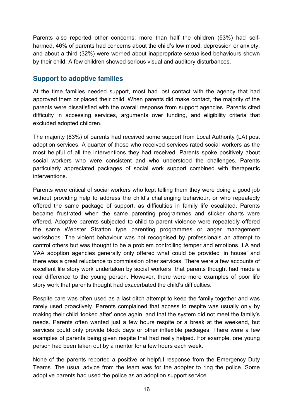Parents also reported other concerns: more than half the children (53%) had selfharmed, 46% of parents had concerns about the child's low mood, depression or anxiety, and about a third (32%) were worried about inappropriate sexualised behaviours shown by their child. A few children showed serious visual and auditory disturbances.

#### **Support to adoptive families**

At the time families needed support, most had lost contact with the agency that had approved them or placed their child. When parents did make contact, the majority of the parents were dissatisfied with the overall response from support agencies. Parents cited difficulty in accessing services, arguments over funding, and eligibility criteria that excluded adopted children.

The majority (83%) of parents had received some support from Local Authority (LA) post adoption services. A quarter of those who received services rated social workers as the most helpful of all the interventions they had received. Parents spoke positively about social workers who were consistent and who understood the challenges. Parents particularly appreciated packages of social work support combined with therapeutic interventions.

Parents were critical of social workers who kept telling them they were doing a good job without providing help to address the child's challenging behaviour, or who repeatedly offered the same package of support, as difficulties in family life escalated. Parents became frustrated when the same parenting programmes and sticker charts were offered. Adoptive parents subjected to child to parent violence were repeatedly offered the same Webster Stratton type parenting programmes or anger management workshops. The violent behaviour was not recognised by professionals an attempt to control others but was thought to be a problem controlling temper and emotions. LA and VAA adoption agencies generally only offered what could be provided 'in house' and there was a great reluctance to commission other services. There were a few accounts of excellent life story work undertaken by social workers that parents thought had made a real difference to the young person. However, there were more examples of poor life story work that parents thought had exacerbated the child's difficulties.

Respite care was often used as a last ditch attempt to keep the family together and was rarely used proactively. Parents complained that access to respite was usually only by making their child 'looked after' once again, and that the system did not meet the family's needs. Parents often wanted just a few hours respite or a break at the weekend, but services could only provide block days or other inflexible packages. There were a few examples of parents being given respite that had really helped. For example, one young person had been taken out by a mentor for a few hours each week.

None of the parents reported a positive or helpful response from the Emergency Duty Teams. The usual advice from the team was for the adopter to ring the police. Some adoptive parents had used the police as an adoption support service.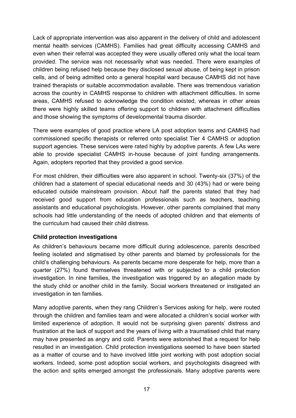Lack of appropriate intervention was also apparent in the delivery of child and adolescent mental health services (CAMHS). Families had great difficulty accessing CAMHS and even when their referral was accepted they were usually offered only what the local team provided. The service was not necessarily what was needed. There were examples of children being refused help because they disclosed sexual abuse, of being kept in prison cells, and of being admitted onto a general hospital ward because CAMHS did not have trained therapists or suitable accommodation available. There was tremendous variation across the country in CAMHS response to children with attachment difficulties. In some areas, CAMHS refused to acknowledge the condition existed, whereas in other areas there were highly skilled teams offering support to children with attachment difficulties and those showing the symptoms of developmental trauma disorder.

There were examples of good practice where LA post adoption teams and CAMHS had commissioned specific therapists or referred onto specialist Tier 4 CAMHS or adoption support agencies. These services were rated highly by adoptive parents. A few LAs were able to provide specialist CAMHS in-house because of joint funding arrangements. Again, adopters reported that they provided a good service.

For most children, their difficulties were also apparent in school. Twenty-six (37%) of the children had a statement of special educational needs and 30 (43%) had or were being educated outside mainstream provision. About half the parents stated that they had received good support from education professionals such as teachers, teaching assistants and educational psychologists. However, other parents complained that many schools had little understanding of the needs of adopted children and that elements of the curriculum had caused their child distress.

#### **Child protection investigations**

As children's behaviours became more difficult during adolescence, parents described feeling isolated and stigmatised by other parents and blamed by professionals for the child's challenging behaviours. As parents became more desperate for help, more than a quarter (27%) found themselves threatened with or subjected to a child protection investigation. In nine families, the investigation was triggered by an allegation made by the study child or another child in the family. Social workers threatened or instigated an investigation in ten families.

Many adoptive parents, when they rang Children's Services asking for help, were routed through the children and families team and were allocated a children's social worker with limited experience of adoption. It would not be surprising given parents' distress and frustration at the lack of support and the years of living with a traumatised child that many may have presented as angry and cold. Parents were astonished that a request for help resulted in an investigation. Child protection investigations seemed to have been started as a matter of course and to have involved little joint working with post adoption social workers. Indeed, some post adoption social workers, and psychologists disagreed with the action and splits emerged amongst the professionals. Many adoptive parents were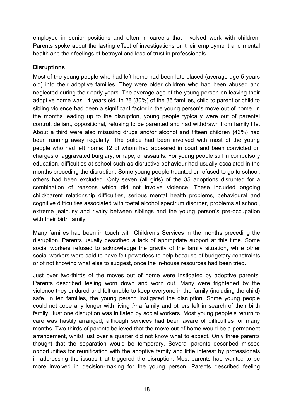employed in senior positions and often in careers that involved work with children. Parents spoke about the lasting effect of investigations on their employment and mental health and their feelings of betrayal and loss of trust in professionals.

#### **Disruptions**

Most of the young people who had left home had been late placed (average age 5 years old) into their adoptive families. They were older children who had been abused and neglected during their early years. The average age of the young person on leaving their adoptive home was 14 years old. In 28 (80%) of the 35 families, child to parent or child to sibling violence had been a significant factor in the young person's move out of home. In the months leading up to the disruption, young people typically were out of parental control, defiant, oppositional, refusing to be parented and had withdrawn from family life. About a third were also misusing drugs and/or alcohol and fifteen children (43%) had been running away regularly. The police had been involved with most of the young people who had left home: 12 of whom had appeared in court and been convicted on charges of aggravated burglary, or rape, or assaults. For young people still in compulsory education, difficulties at school such as disruptive behaviour had usually escalated in the months preceding the disruption. Some young people truanted or refused to go to school, others had been excluded. Only seven (all girls) of the 35 adoptions disrupted for a combination of reasons which did not involve violence. These included ongoing child/parent relationship difficulties, serious mental health problems, behavioural and cognitive difficulties associated with foetal alcohol spectrum disorder, problems at school, extreme jealousy and rivalry between siblings and the young person's pre-occupation with their birth family.

Many families had been in touch with Children's Services in the months preceding the disruption. Parents usually described a lack of appropriate support at this time. Some social workers refused to acknowledge the gravity of the family situation, while other social workers were said to have felt powerless to help because of budgetary constraints or of not knowing what else to suggest, once the in-house resources had been tried.

Just over two-thirds of the moves out of home were instigated by adoptive parents. Parents described feeling worn down and worn out. Many were frightened by the violence they endured and felt unable to keep everyone in the family (including the child) safe. In ten families, the young person instigated the disruption. Some young people could not cope any longer with living *in* a family and others left in search of their birth family. Just one disruption was initiated by social workers. Most young people's return to care was hastily arranged, although services had been aware of difficulties for many months. Two-thirds of parents believed that the move out of home would be a permanent arrangement, whilst just over a quarter did not know what to expect. Only three parents thought that the separation would be temporary. Several parents described missed opportunities for reunification with the adoptive family and little interest by professionals in addressing the issues that triggered the disruption. Most parents had wanted to be more involved in decision-making for the young person. Parents described feeling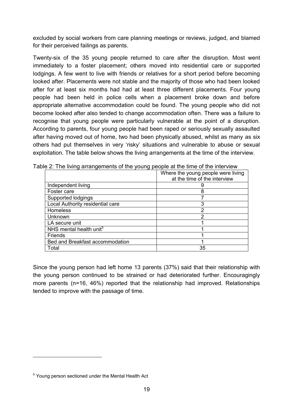excluded by social workers from care planning meetings or reviews, judged, and blamed for their perceived failings as parents.

Twenty-six of the 35 young people returned to care after the disruption. Most went immediately to a foster placement; others moved into residential care or supported lodgings. A few went to live with friends or relatives for a short period before becoming looked after. Placements were not stable and the majority of those who had been looked after for at least six months had had at least three different placements. Four young people had been held in police cells when a placement broke down and before appropriate alternative accommodation could be found. The young people who did not become looked after also tended to change accommodation often. There was a failure to recognise that young people were particularly vulnerable at the point of a disruption. According to parents, four young people had been raped or seriously sexually assaulted after having moved out of home, two had been physically abused, whilst as many as six others had put themselves in very 'risky' situations and vulnerable to abuse or sexual exploitation. The table below shows the living arrangements at the time of the interview.

|                                     | Where the young people were living |
|-------------------------------------|------------------------------------|
|                                     | at the time of the interview       |
| Independent living                  |                                    |
| Foster care                         |                                    |
| Supported lodgings                  |                                    |
| Local Authority residential care    | 3                                  |
| <b>Homeless</b>                     | 2                                  |
| Unknown                             | າ                                  |
| LA secure unit                      |                                    |
| NHS mental health unit <sup>5</sup> |                                    |
| Friends                             |                                    |
| Bed and Breakfast accommodation     |                                    |
| Total                               | 35                                 |

Table 2: The living arrangements of the young people at the time of the interview

Since the young person had left home 13 parents (37%) said that their relationship with the young person continued to be strained or had deteriorated further. Encouragingly more parents (n=16, 46%) reported that the relationship had improved. Relationships tended to improve with the passage of time.

<sup>&</sup>lt;sup>5</sup> Young person sectioned under the Mental Health Act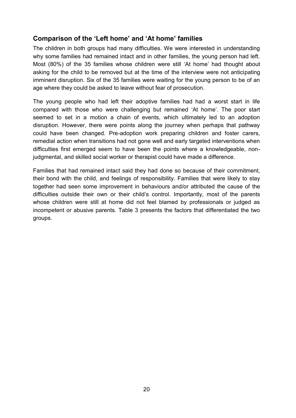## **Comparison of the 'Left home' and 'At home' families**

The children in both groups had many difficulties. We were interested in understanding why some families had remained intact and in other families, the young person had left. Most (80%) of the 35 families whose children were still 'At home' had thought about asking for the child to be removed but at the time of the interview were not anticipating imminent disruption. Six of the 35 families were waiting for the young person to be of an age where they could be asked to leave without fear of prosecution.

The young people who had left their adoptive families had had a worst start in life compared with those who were challenging but remained 'At home'. The poor start seemed to set in a motion a chain of events, which ultimately led to an adoption disruption. However, there were points along the journey when perhaps that pathway could have been changed. Pre-adoption work preparing children and foster carers, remedial action when transitions had not gone well and early targeted interventions when difficulties first emerged seem to have been the points where a knowledgeable, nonjudgmental, and skilled social worker or therapist could have made a difference.

Families that had remained intact said they had done so because of their commitment, their bond with the child, and feelings of responsibility. Families that were likely to stay together had seen some improvement in behaviours and/or attributed the cause of the difficulties outside their own or their child's control. Importantly, most of the parents whose children were still at home did not feel blamed by professionals or judged as incompetent or abusive parents. Table 3 presents the factors that differentiated the two groups.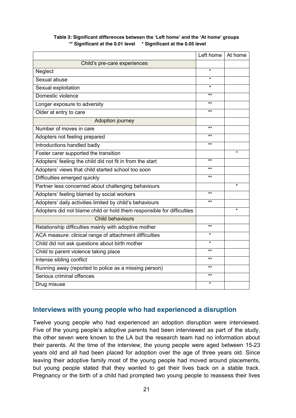|                                                                        | Left home $ $ | At home |
|------------------------------------------------------------------------|---------------|---------|
| Child's pre-care experiences                                           |               |         |
| Neglect                                                                | $\star$       |         |
| Sexual abuse                                                           | $\star$       |         |
| Sexual exploitation                                                    | $\star$       |         |
| Domestic violence                                                      | $***$         |         |
| Longer exposure to adversity                                           | $***$         |         |
| Older at entry to care                                                 | $***$         |         |
| Adoption journey                                                       |               |         |
| Number of moves in care                                                | $***$         |         |
| Adopters not feeling prepared                                          | $**$          |         |
| Introductions handled badly                                            | $***$         |         |
| Foster carer supported the transition                                  |               | $\star$ |
| Adopters' feeling the child did not fit in from the start              | $\star\star$  |         |
| Adopters' views that child started school too soon                     | $***$         |         |
| Difficulties emerged quickly                                           | $***$         |         |
| Partner less concerned about challenging behaviours                    |               | $\star$ |
| Adopters' feeling blamed by social workers                             | $***$         |         |
| Adopters' daily activities limited by child's behaviours               | $***$         |         |
| Adopters did not blame child or hold them responsible for difficulties |               | $\star$ |
| Child behaviours                                                       |               |         |
| Relationship difficulties mainly with adoptive mother                  | $***$         |         |
| ACA measure: clinical range of attachment difficulties                 | $\star$       |         |
| Child did not ask questions about birth mother                         | $\star$       |         |
| Child to parent violence taking place                                  | $***$         |         |
| Intense sibling conflict                                               | $***$         |         |
| Running away (reported to police as a missing person)                  | $***$         |         |
| Serious criminal offences                                              | $***$         |         |
| Drug misuse                                                            | $\star$       |         |

#### **Table 3: Significant differences between the 'Left home' and the 'At home' groups \*\* Significant at the 0.01 level \* Significant at the 0.05 level**

#### **Interviews with young people who had experienced a disruption**

Twelve young people who had experienced an adoption disruption were interviewed. Five of the young people's adoptive parents had been interviewed as part of the study, the other seven were known to the LA but the research team had no information about their parents. At the time of the interview, the young people were aged between 15-23 years old and all had been placed for adoption over the age of three years old. Since leaving their adoptive family most of the young people had moved around placements, but young people stated that they wanted to get their lives back on a stable track. Pregnancy or the birth of a child had prompted two young people to reassess their lives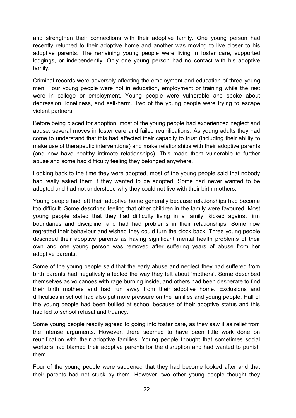and strengthen their connections with their adoptive family. One young person had recently returned to their adoptive home and another was moving to live closer to his adoptive parents. The remaining young people were living in foster care, supported lodgings, or independently. Only one young person had no contact with his adoptive family.

Criminal records were adversely affecting the employment and education of three young men. Four young people were not in education, employment or training while the rest were in college or employment. Young people were vulnerable and spoke about depression, loneliness, and self-harm. Two of the young people were trying to escape violent partners.

Before being placed for adoption, most of the young people had experienced neglect and abuse, several moves in foster care and failed reunifications. As young adults they had come to understand that this had affected their capacity to trust (including their ability to make use of therapeutic interventions) and make relationships with their adoptive parents (and now have healthy intimate relationships). This made them vulnerable to further abuse and some had difficulty feeling they belonged anywhere.

Looking back to the time they were adopted, most of the young people said that nobody had really asked them if they wanted to be adopted. Some had never wanted to be adopted and had not understood why they could not live with their birth mothers.

Young people had left their adoptive home generally because relationships had become too difficult. Some described feeling that other children in the family were favoured. Most young people stated that they had difficulty living in a family, kicked against firm boundaries and discipline, and had had problems in their relationships. Some now regretted their behaviour and wished they could turn the clock back. Three young people described their adoptive parents as having significant mental health problems of their own and one young person was removed after suffering years of abuse from her adoptive parents.

Some of the young people said that the early abuse and neglect they had suffered from birth parents had negatively affected the way they felt about 'mothers'. Some described themselves as volcanoes with rage burning inside, and others had been desperate to find their birth mothers and had run away from their adoptive home. Exclusions and difficulties in school had also put more pressure on the families and young people. Half of the young people had been bullied at school because of their adoptive status and this had led to school refusal and truancy.

Some young people readily agreed to going into foster care, as they saw it as relief from the intense arguments. However, there seemed to have been little work done on reunification with their adoptive families. Young people thought that sometimes social workers had blamed their adoptive parents for the disruption and had wanted to punish them.

Four of the young people were saddened that they had become looked after and that their parents had not stuck by them. However, two other young people thought they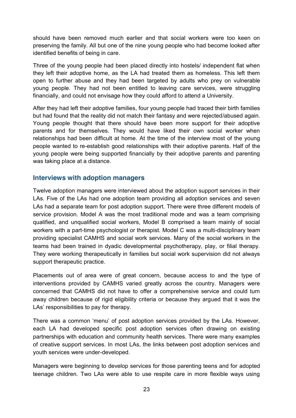should have been removed much earlier and that social workers were too keen on preserving the family. All but one of the nine young people who had become looked after identified benefits of being in care.

Three of the young people had been placed directly into hostels/ independent flat when they left their adoptive home, as the LA had treated them as homeless. This left them open to further abuse and they had been targeted by adults who prey on vulnerable young people. They had not been entitled to leaving care services, were struggling financially, and could not envisage how they could afford to attend a University.

After they had left their adoptive families, four young people had traced their birth families but had found that the reality did not match their fantasy and were rejected/abused again. Young people thought that there should have been more support for their adoptive parents and for themselves. They would have liked their own social worker when relationships had been difficult at home. At the time of the interview most of the young people wanted to re-establish good relationships with their adoptive parents. Half of the young people were being supported financially by their adoptive parents and parenting was taking place at a distance.

#### **Interviews with adoption managers**

Twelve adoption managers were interviewed about the adoption support services in their LAs. Five of the LAs had one adoption team providing all adoption services and seven LAs had a separate team for post adoption support. There were three different models of service provision. Model A was the most traditional mode and was a team comprising qualified, and unqualified social workers, Model B comprised a team mainly of social workers with a part-time psychologist or therapist. Model C was a multi-disciplinary team providing specialist CAMHS and social work services. Many of the social workers in the teams had been trained in dyadic developmental psychotherapy, play, or filial therapy. They were working therapeutically in families but social work supervision did not always support therapeutic practice.

Placements out of area were of great concern, because access to and the type of interventions provided by CAMHS varied greatly across the country. Managers were concerned that CAMHS did not have to offer a comprehensive service and could turn away children because of rigid eligibility criteria or because they argued that it was the LAs' responsibilities to pay for therapy.

There was a common 'menu' of post adoption services provided by the LAs. However, each LA had developed specific post adoption services often drawing on existing partnerships with education and community health services. There were many examples of creative support services. In most LAs, the links between post adoption services and youth services were under-developed.

Managers were beginning to develop services for those parenting teens and for adopted teenage children. Two LAs were able to use respite care in more flexible ways using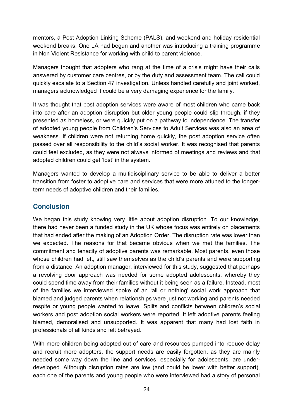mentors, a Post Adoption Linking Scheme (PALS), and weekend and holiday residential weekend breaks. One LA had begun and another was introducing a training programme in Non Violent Resistance for working with child to parent violence.

Managers thought that adopters who rang at the time of a crisis might have their calls answered by customer care centres, or by the duty and assessment team. The call could quickly escalate to a Section 47 investigation. Unless handled carefully and joint worked, managers acknowledged it could be a very damaging experience for the family.

It was thought that post adoption services were aware of most children who came back into care after an adoption disruption but older young people could slip through, if they presented as homeless, or were quickly put on a pathway to independence. The transfer of adopted young people from Children's Services to Adult Services was also an area of weakness. If children were not returning home quickly, the post adoption service often passed over all responsibility to the child's social worker. It was recognised that parents could feel excluded, as they were not always informed of meetings and reviews and that adopted children could get 'lost' in the system.

Managers wanted to develop a multidisciplinary service to be able to deliver a better transition from foster to adoptive care and services that were more attuned to the longerterm needs of adoptive children and their families.

## **Conclusion**

We began this study knowing very little about adoption disruption. To our knowledge, there had never been a funded study in the UK whose focus was entirely on placements that had ended after the making of an Adoption Order. The disruption rate was lower than we expected. The reasons for that became obvious when we met the families. The commitment and tenacity of adoptive parents was remarkable. Most parents, even those whose children had left, still saw themselves as the child's parents and were supporting from a distance. An adoption manager, interviewed for this study, suggested that perhaps a revolving door approach was needed for some adopted adolescents, whereby they could spend time away from their families without it being seen as a failure. Instead, most of the families we interviewed spoke of an 'all or nothing' social work approach that blamed and judged parents when relationships were just not working and parents needed respite or young people wanted to leave. Splits and conflicts between children's social workers and post adoption social workers were reported. It left adoptive parents feeling blamed, demoralised and unsupported. It was apparent that many had lost faith in professionals of all kinds and felt betrayed.

With more children being adopted out of care and resources pumped into reduce delay and recruit more adopters, the support needs are easily forgotten, as they are mainly needed some way down the line and services, especially for adolescents, are underdeveloped. Although disruption rates are low (and could be lower with better support), each one of the parents and young people who were interviewed had a story of personal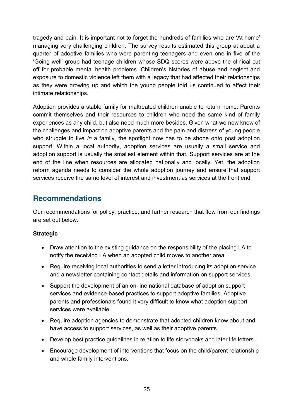tragedy and pain. It is important not to forget the hundreds of families who are 'At home' managing very challenging children. The survey results estimated this group at about a quarter of adoptive families who were parenting teenagers and even one in five of the 'Going well' group had teenage children whose SDQ scores were above the clinical cut off for probable mental health problems. Children's histories of abuse and neglect and exposure to domestic violence left them with a legacy that had affected their relationships as they were growing up and which the young people told us continued to affect their intimate relationships.

Adoption provides a stable family for maltreated children unable to return home. Parents commit themselves and their resources to children who need the same kind of family experiences as any child, but also need much more besides. Given what we now know of the challenges and impact on adoptive parents and the pain and distress of young people who struggle to live *in* a family, the spotlight now has to be shone onto post adoption support. Within a local authority, adoption services are usually a small service and adoption support is usually the smallest element within that. Support services are at the end of the line when resources are allocated nationally and locally. Yet, the adoption reform agenda needs to consider the whole adoption journey and ensure that support services receive the same level of interest and investment as services at the front end.

## **Recommendations**

Our recommendations for policy, practice, and further research that flow from our findings are set out below.

#### **Strategic**

- Draw attention to the existing guidance on the responsibility of the placing LA to notify the receiving LA when an adopted child moves to another area.
- Require receiving local authorities to send a letter introducing its adoption service and a newsletter containing contact details and information on support services.
- Support the development of an on-line national database of adoption support services and evidence-based practices to support adoptive families. Adoptive parents and professionals found it very difficult to know what adoption support services were available.
- Require adoption agencies to demonstrate that adopted children know about and have access to support services, as well as their adoptive parents.
- Develop best practice guidelines in relation to life storybooks and later life letters.
- Encourage development of interventions that focus on the child/parent relationship and whole family interventions.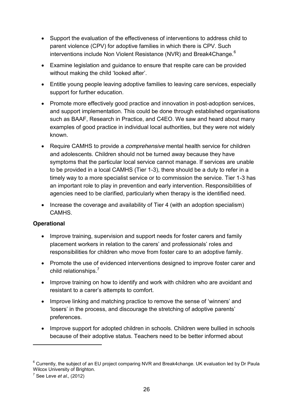- Support the evaluation of the effectiveness of interventions to address child to parent violence (CPV) for adoptive families in which there is CPV. Such interventions include Non Violent Resistance (NVR) and Break4Change.<sup>6</sup>
- Examine legislation and guidance to ensure that respite care can be provided without making the child 'looked after'.
- Entitle young people leaving adoptive families to leaving care services, especially support for further education.
- Promote more effectively good practice and innovation in post-adoption services, and support implementation. This could be done through established organisations such as BAAF, Research in Practice, and C4EO. We saw and heard about many examples of good practice in individual local authorities, but they were not widely known.
- **•** Require CAMHS to provide a *comprehensive* mental health service for children and adolescents. Children should not be turned away because they have symptoms that the particular local service cannot manage. If services are unable to be provided in a local CAMHS (Tier 1-3), there should be a duty to refer in a timely way to a more specialist service or to commission the service. Tier 1-3 has an important role to play in prevention and early intervention. Responsibilities of agencies need to be clarified, particularly when therapy is the identified need.
- Increase the coverage and availability of Tier 4 (with an adoption specialism) CAMHS.

#### **Operational**

- Improve training, supervision and support needs for foster carers and family placement workers in relation to the carers' and professionals' roles and responsibilities for children who move from foster care to an adoptive family.
- Promote the use of evidenced interventions designed to improve foster carer and child relationships.<sup>7</sup>
- Improve training on how to identify and work with children who are avoidant and resistant to a carer's attempts to comfort.
- Improve linking and matching practice to remove the sense of 'winners' and 'losers' in the process, and discourage the stretching of adoptive parents' preferences.
- Improve support for adopted children in schools. Children were bullied in schools because of their adoptive status. Teachers need to be better informed about

<sup>&</sup>lt;sup>6</sup> Currently, the subject of an EU project comparing NVR and Break4change. UK evaluation led by Dr Paula Wilcox University of Brighton.

<sup>7</sup> See Leve *et al.,* (2012)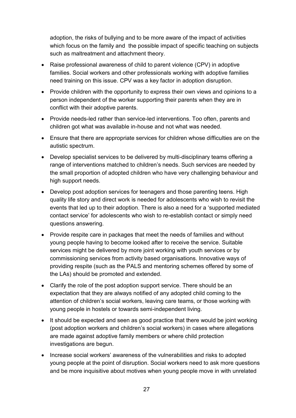adoption, the risks of bullying and to be more aware of the impact of activities which focus on the family and the possible impact of specific teaching on subjects such as maltreatment and attachment theory.

- Raise professional awareness of child to parent violence (CPV) in adoptive families. Social workers and other professionals working with adoptive families need training on this issue. CPV was a key factor in adoption disruption.
- Provide children with the opportunity to express their own views and opinions to a person independent of the worker supporting their parents when they are in conflict with their adoptive parents.
- Provide needs-led rather than service-led interventions. Too often, parents and children got what was available in-house and not what was needed.
- Ensure that there are appropriate services for children whose difficulties are on the autistic spectrum.
- Develop specialist services to be delivered by multi-disciplinary teams offering a range of interventions matched to children's needs. Such services are needed by the small proportion of adopted children who have very challenging behaviour and high support needs.
- Develop post adoption services for teenagers and those parenting teens. High quality life story and direct work is needed for adolescents who wish to revisit the events that led up to their adoption. There is also a need for a 'supported mediated contact service' for adolescents who wish to re-establish contact or simply need questions answering.
- Provide respite care in packages that meet the needs of families and without young people having to become looked after to receive the service. Suitable services might be delivered by more joint working with youth services or by commissioning services from activity based organisations. Innovative ways of providing respite (such as the PALS and mentoring schemes offered by some of the LAs) should be promoted and extended.
- Clarify the role of the post adoption support service. There should be an expectation that they are always notified of any adopted child coming to the attention of children's social workers, leaving care teams, or those working with young people in hostels or towards semi-independent living.
- It should be expected and seen as good practice that there would be joint working (post adoption workers and children's social workers) in cases where allegations are made against adoptive family members or where child protection investigations are begun.
- Increase social workers' awareness of the vulnerabilities and risks to adopted young people at the point of disruption. Social workers need to ask more questions and be more inquisitive about motives when young people move in with unrelated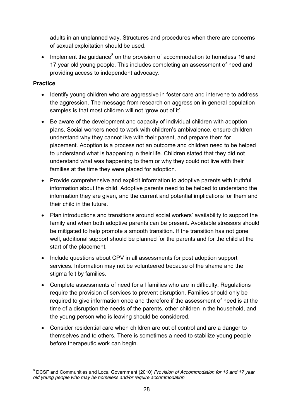adults in an unplanned way. Structures and procedures when there are concerns of sexual exploitation should be used.

• Implement the quidance<sup>8</sup> on the provision of accommodation to homeless 16 and 17 year old young people. This includes completing an assessment of need and providing access to independent advocacy.

#### **Practice**

- Identify young children who are aggressive in foster care and intervene to address the aggression. The message from research on aggression in general population samples is that most children will not 'grow out of it'.
- Be aware of the development and capacity of individual children with adoption plans. Social workers need to work with children's ambivalence, ensure children understand why they cannot live with their parent, and prepare them for placement. Adoption is a process not an outcome and children need to be helped to understand what is happening in their life. Children stated that they did not understand what was happening to them or why they could not live with their families at the time they were placed for adoption.
- Provide comprehensive and explicit information to adoptive parents with truthful information about the child. Adoptive parents need to be helped to understand the information they are given, and the current and potential implications for them and their child in the future.
- Plan introductions and transitions around social workers' availability to support the family and when both adoptive parents can be present. Avoidable stressors should be mitigated to help promote a smooth transition. If the transition has not gone well, additional support should be planned for the parents and for the child at the start of the placement.
- Include questions about CPV in all assessments for post adoption support services. Information may not be volunteered because of the shame and the stigma felt by families.
- Complete assessments of need for all families who are in difficulty. Regulations require the provision of services to prevent disruption. Families should only be required to give information once and therefore if the assessment of need is at the time of a disruption the needs of the parents, other children in the household, and the young person who is leaving should be considered.
- Consider residential care when children are out of control and are a danger to themselves and to others. There is sometimes a need to stabilize young people before therapeutic work can begin.

<sup>8</sup> DCSF and Communities and Local Government (2010) *Provision of Accommodation for 16 and 17 year old young people who may be homeless and/or require accommodation*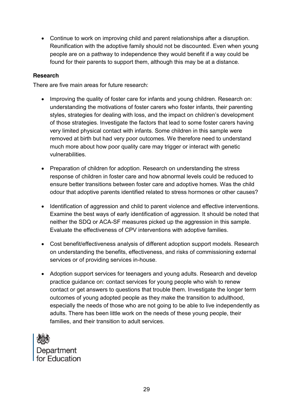• Continue to work on improving child and parent relationships after a disruption. Reunification with the adoptive family should not be discounted. Even when young people are on a pathway to independence they would benefit if a way could be found for their parents to support them, although this may be at a distance.

#### **Research**

There are five main areas for future research:

- Improving the quality of foster care for infants and young children. Research on: understanding the motivations of foster carers who foster infants, their parenting styles, strategies for dealing with loss, and the impact on children's development of those strategies. Investigate the factors that lead to some foster carers having very limited physical contact with infants. Some children in this sample were removed at birth but had very poor outcomes. We therefore need to understand much more about how poor quality care may trigger or interact with genetic vulnerabilities.
- Preparation of children for adoption. Research on understanding the stress response of children in foster care and how abnormal levels could be reduced to ensure better transitions between foster care and adoptive homes. Was the child odour that adoptive parents identified related to stress hormones or other causes?
- Identification of aggression and child to parent violence and effective interventions. Examine the best ways of early identification of aggression. It should be noted that neither the SDQ or ACA-SF measures picked up the aggression in this sample. Evaluate the effectiveness of CPV interventions with adoptive families.
- Cost benefit/effectiveness analysis of different adoption support models. Research on understanding the benefits, effectiveness, and risks of commissioning external services or of providing services in-house.
- Adoption support services for teenagers and young adults. Research and develop practice guidance on: contact services for young people who wish to renew contact or get answers to questions that trouble them. Investigate the longer term outcomes of young adopted people as they make the transition to adulthood, especially the needs of those who are not going to be able to live independently as adults. There has been little work on the needs of these young people, their families, and their transition to adult services.

Department